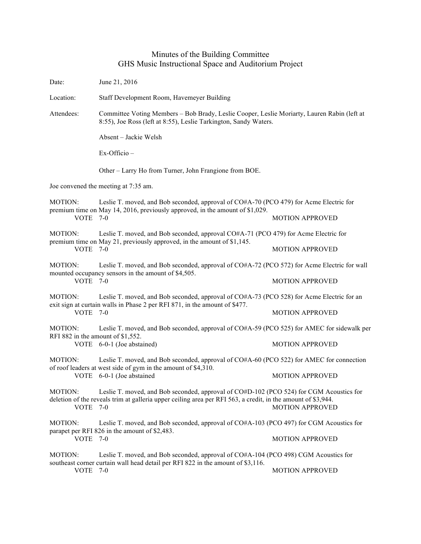## Minutes of the Building Committee GHS Music Instructional Space and Auditorium Project

| Date:                                                                                                                                      | June 21, 2016                                                                                                                                                                                           |                        |  |
|--------------------------------------------------------------------------------------------------------------------------------------------|---------------------------------------------------------------------------------------------------------------------------------------------------------------------------------------------------------|------------------------|--|
| Location:                                                                                                                                  | Staff Development Room, Havemeyer Building                                                                                                                                                              |                        |  |
| Attendees:                                                                                                                                 | Committee Voting Members - Bob Brady, Leslie Cooper, Leslie Moriarty, Lauren Rabin (left at<br>8:55), Joe Ross (left at 8:55), Leslie Tarkington, Sandy Waters.                                         |                        |  |
|                                                                                                                                            | Absent – Jackie Welsh                                                                                                                                                                                   |                        |  |
|                                                                                                                                            | Ex-Officio-                                                                                                                                                                                             |                        |  |
|                                                                                                                                            | Other - Larry Ho from Turner, John Frangione from BOE.                                                                                                                                                  |                        |  |
|                                                                                                                                            | Joe convened the meeting at 7:35 am.                                                                                                                                                                    |                        |  |
| MOTION:<br>VOTE 7-0                                                                                                                        | Leslie T. moved, and Bob seconded, approval of CO#A-70 (PCO 479) for Acme Electric for<br>premium time on May 14, 2016, previously approved, in the amount of \$1,029.                                  | <b>MOTION APPROVED</b> |  |
| MOTION:<br>VOTE 7-0                                                                                                                        | Leslie T. moved, and Bob seconded, approval CO#A-71 (PCO 479) for Acme Electric for<br>premium time on May 21, previously approved, in the amount of \$1,145.                                           |                        |  |
|                                                                                                                                            |                                                                                                                                                                                                         | <b>MOTION APPROVED</b> |  |
| MOTION:                                                                                                                                    | Leslie T. moved, and Bob seconded, approval of CO#A-72 (PCO 572) for Acme Electric for wall<br>mounted occupancy sensors in the amount of \$4,505.                                                      |                        |  |
| VOTE 7-0                                                                                                                                   |                                                                                                                                                                                                         | <b>MOTION APPROVED</b> |  |
| <b>MOTION:</b><br><b>VOTE 7-0</b>                                                                                                          | Leslie T. moved, and Bob seconded, approval of CO#A-73 (PCO 528) for Acme Electric for an<br>exit sign at curtain walls in Phase 2 per RFI 871, in the amount of \$477.                                 |                        |  |
|                                                                                                                                            |                                                                                                                                                                                                         | <b>MOTION APPROVED</b> |  |
| Leslie T. moved, and Bob seconded, approval of CO#A-59 (PCO 525) for AMEC for sidewalk per<br>MOTION:<br>RFI 882 in the amount of \$1,552. |                                                                                                                                                                                                         |                        |  |
|                                                                                                                                            | VOTE 6-0-1 (Joe abstained)                                                                                                                                                                              | <b>MOTION APPROVED</b> |  |
| MOTION:                                                                                                                                    | Leslie T. moved, and Bob seconded, approval of CO#A-60 (PCO 522) for AMEC for connection<br>of roof leaders at west side of gym in the amount of \$4,310.<br>VOTE 6-0-1 (Joe abstained                  |                        |  |
|                                                                                                                                            |                                                                                                                                                                                                         | <b>MOTION APPROVED</b> |  |
| MOTION:<br><b>VOTE 7-0</b>                                                                                                                 | Leslie T. moved, and Bob seconded, approval of CO#D-102 (PCO 524) for CGM Acoustics for<br>deletion of the reveals trim at galleria upper ceiling area per RFI 563, a credit, in the amount of \$3,944. | <b>MOTION APPROVED</b> |  |
| MOTION:                                                                                                                                    | Leslie T. moved, and Bob seconded, approval of CO#A-103 (PCO 497) for CGM Acoustics for<br>parapet per RFI 826 in the amount of \$2,483.                                                                |                        |  |
| VOTE 7-0                                                                                                                                   |                                                                                                                                                                                                         | <b>MOTION APPROVED</b> |  |
| MOTION:                                                                                                                                    | Leslie T. moved, and Bob seconded, approval of CO#A-104 (PCO 498) CGM Acoustics for<br>southeast corner curtain wall head detail per RFI 822 in the amount of \$3,116.                                  |                        |  |
| VOTE                                                                                                                                       | $7-0$                                                                                                                                                                                                   | <b>MOTION APPROVED</b> |  |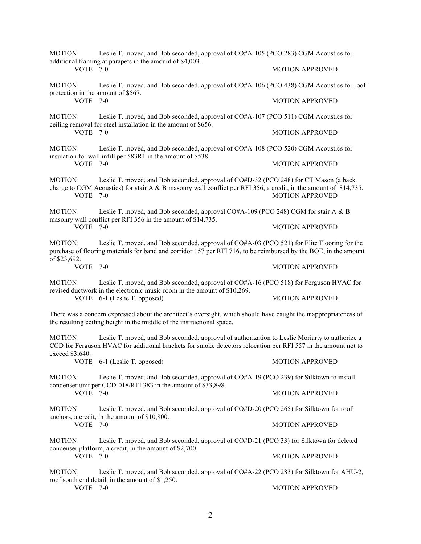| Leslie T. moved, and Bob seconded, approval of CO#A-105 (PCO 283) CGM Acoustics for<br>MOTION:<br>additional framing at parapets in the amount of \$4,003.                                                                                           |                                                                                                                                                                                                                 |                        |  |
|------------------------------------------------------------------------------------------------------------------------------------------------------------------------------------------------------------------------------------------------------|-----------------------------------------------------------------------------------------------------------------------------------------------------------------------------------------------------------------|------------------------|--|
| VOTE 7-0                                                                                                                                                                                                                                             |                                                                                                                                                                                                                 | <b>MOTION APPROVED</b> |  |
| <b>MOTION:</b><br>protection in the amount of \$567.                                                                                                                                                                                                 | Leslie T. moved, and Bob seconded, approval of CO#A-106 (PCO 438) CGM Acoustics for roof<br>$7-0$                                                                                                               |                        |  |
| <b>VOTE</b>                                                                                                                                                                                                                                          |                                                                                                                                                                                                                 | <b>MOTION APPROVED</b> |  |
| <b>MOTION:</b><br>VOTE 7-0                                                                                                                                                                                                                           | Leslie T. moved, and Bob seconded, approval of CO#A-107 (PCO 511) CGM Acoustics for<br>ceiling removal for steel installation in the amount of \$656.                                                           |                        |  |
|                                                                                                                                                                                                                                                      |                                                                                                                                                                                                                 | <b>MOTION APPROVED</b> |  |
| <b>MOTION:</b>                                                                                                                                                                                                                                       | Leslie T. moved, and Bob seconded, approval of CO#A-108 (PCO 520) CGM Acoustics for<br>insulation for wall infill per 583R1 in the amount of \$538.                                                             |                        |  |
| VOTE 7-0                                                                                                                                                                                                                                             |                                                                                                                                                                                                                 | <b>MOTION APPROVED</b> |  |
| MOTION:<br>VOTE 7-0                                                                                                                                                                                                                                  | Leslie T. moved, and Bob seconded, approval of CO#D-32 (PCO 248) for CT Mason (a back<br>charge to CGM Acoustics) for stair A & B masonry wall conflict per RFI 356, a credit, in the amount of \$14,735.       | <b>MOTION APPROVED</b> |  |
| <b>MOTION:</b><br>VOTE 7-0                                                                                                                                                                                                                           | Leslie T. moved, and Bob seconded, approval CO#A-109 (PCO 248) CGM for stair A & B<br>masonry wall conflict per RFI 356 in the amount of \$14,735.                                                              |                        |  |
|                                                                                                                                                                                                                                                      |                                                                                                                                                                                                                 | <b>MOTION APPROVED</b> |  |
| <b>MOTION:</b>                                                                                                                                                                                                                                       | Leslie T. moved, and Bob seconded, approval of CO#A-03 (PCO 521) for Elite Flooring for the<br>purchase of flooring materials for band and corridor 157 per RFI 716, to be reimbursed by the BOE, in the amount |                        |  |
| of \$23,692.<br>VOTE 7-0                                                                                                                                                                                                                             |                                                                                                                                                                                                                 | <b>MOTION APPROVED</b> |  |
| <b>MOTION:</b>                                                                                                                                                                                                                                       | Leslie T. moved, and Bob seconded, approval of CO#A-16 (PCO 518) for Ferguson HVAC for<br>revised ductwork in the electronic music room in the amount of \$10,269.                                              |                        |  |
|                                                                                                                                                                                                                                                      | VOTE 6-1 (Leslie T. opposed)                                                                                                                                                                                    | <b>MOTION APPROVED</b> |  |
| There was a concern expressed about the architect's oversight, which should have caught the inappropriateness of<br>the resulting ceiling height in the middle of the instructional space.                                                           |                                                                                                                                                                                                                 |                        |  |
| <b>MOTION:</b><br>Leslie T. moved, and Bob seconded, approval of authorization to Leslie Moriarty to authorize a<br>CCD for Ferguson HVAC for additional brackets for smoke detectors relocation per RFI 557 in the amount not to<br>exceed \$3,640. |                                                                                                                                                                                                                 |                        |  |
|                                                                                                                                                                                                                                                      | VOTE 6-1 (Leslie T. opposed)                                                                                                                                                                                    | <b>MOTION APPROVED</b> |  |
| <b>MOTION:</b><br>VOTE 7-0                                                                                                                                                                                                                           | Leslie T. moved, and Bob seconded, approval of CO#A-19 (PCO 239) for Silktown to install<br>condenser unit per CCD-018/RFI 383 in the amount of \$33,898.                                                       |                        |  |
|                                                                                                                                                                                                                                                      |                                                                                                                                                                                                                 | <b>MOTION APPROVED</b> |  |
| <b>MOTION:</b><br>VOTE 7-0                                                                                                                                                                                                                           | Leslie T. moved, and Bob seconded, approval of CO#D-20 (PCO 265) for Silktown for roof<br>anchors, a credit, in the amount of \$10,800.                                                                         |                        |  |
|                                                                                                                                                                                                                                                      |                                                                                                                                                                                                                 | <b>MOTION APPROVED</b> |  |
| MOTION:                                                                                                                                                                                                                                              | Leslie T. moved, and Bob seconded, approval of CO#D-21 (PCO 33) for Silktown for deleted<br>condenser platform, a credit, in the amount of \$2,700.                                                             |                        |  |
| VOTE 7-0                                                                                                                                                                                                                                             |                                                                                                                                                                                                                 | <b>MOTION APPROVED</b> |  |
| MOTION:                                                                                                                                                                                                                                              | Leslie T. moved, and Bob seconded, approval of CO#A-22 (PCO 283) for Silktown for AHU-2,<br>roof south end detail, in the amount of \$1,250.                                                                    |                        |  |
| VOTE 7-0                                                                                                                                                                                                                                             |                                                                                                                                                                                                                 | <b>MOTION APPROVED</b> |  |
|                                                                                                                                                                                                                                                      |                                                                                                                                                                                                                 |                        |  |